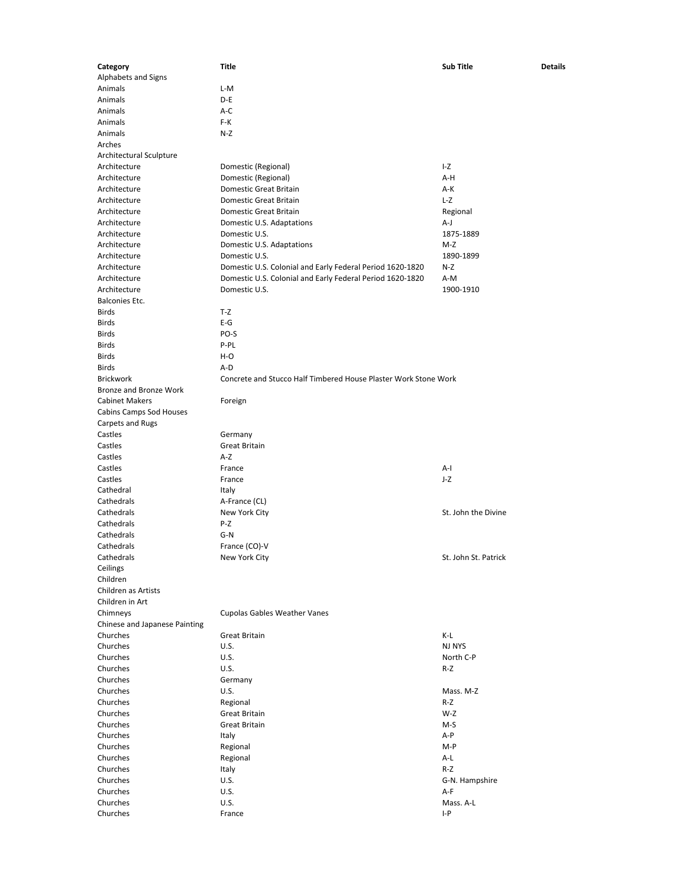| Category                                  | Title                                                           | <b>Sub Title</b>     | <b>Details</b> |
|-------------------------------------------|-----------------------------------------------------------------|----------------------|----------------|
| Alphabets and Signs                       |                                                                 |                      |                |
| Animals                                   | L-M                                                             |                      |                |
| Animals                                   | D-E                                                             |                      |                |
| Animals                                   | A-C                                                             |                      |                |
| Animals                                   | F-K                                                             |                      |                |
| Animals                                   | $N-Z$                                                           |                      |                |
| Arches                                    |                                                                 |                      |                |
| Architectural Sculpture                   |                                                                 |                      |                |
| Architecture                              | Domestic (Regional)                                             | I-Z                  |                |
| Architecture                              | Domestic (Regional)                                             | A-H                  |                |
| Architecture                              | Domestic Great Britain                                          | A-K                  |                |
| Architecture                              | Domestic Great Britain                                          | $L-Z$                |                |
| Architecture                              | Domestic Great Britain                                          | Regional             |                |
| Architecture                              | Domestic U.S. Adaptations                                       | A-J                  |                |
| Architecture                              | Domestic U.S.                                                   | 1875-1889            |                |
| Architecture                              | Domestic U.S. Adaptations                                       | M-Z                  |                |
| Architecture                              | Domestic U.S.                                                   | 1890-1899            |                |
| Architecture                              | Domestic U.S. Colonial and Early Federal Period 1620-1820       | N-Z                  |                |
| Architecture                              | Domestic U.S. Colonial and Early Federal Period 1620-1820       | A-M                  |                |
| Architecture                              | Domestic U.S.                                                   | 1900-1910            |                |
| <b>Balconies Etc.</b>                     |                                                                 |                      |                |
| <b>Birds</b>                              | T-Z                                                             |                      |                |
| Birds                                     | $E-G$                                                           |                      |                |
| <b>Birds</b>                              | PO-S                                                            |                      |                |
| Birds                                     | P-PL                                                            |                      |                |
| Birds                                     | H-O                                                             |                      |                |
| <b>Birds</b>                              | A-D                                                             |                      |                |
| <b>Brickwork</b>                          | Concrete and Stucco Half Timbered House Plaster Work Stone Work |                      |                |
| Bronze and Bronze Work                    |                                                                 |                      |                |
| <b>Cabinet Makers</b>                     | Foreign                                                         |                      |                |
| Cabins Camps Sod Houses                   |                                                                 |                      |                |
| Carpets and Rugs                          |                                                                 |                      |                |
| Castles                                   | Germany                                                         |                      |                |
| Castles                                   | <b>Great Britain</b>                                            |                      |                |
| Castles                                   | $A-Z$                                                           |                      |                |
| Castles                                   | France                                                          | A-I                  |                |
| Castles                                   | France                                                          | J-Z                  |                |
| Cathedral                                 | Italy                                                           |                      |                |
| Cathedrals                                | A-France (CL)                                                   |                      |                |
| Cathedrals                                | New York City                                                   | St. John the Divine  |                |
| Cathedrals                                | P-Z                                                             |                      |                |
| Cathedrals                                | G-N                                                             |                      |                |
| Cathedrals                                | France (CO)-V                                                   |                      |                |
| Cathedrals                                | New York City                                                   | St. John St. Patrick |                |
| Ceilings                                  |                                                                 |                      |                |
| Children                                  |                                                                 |                      |                |
| Children as Artists                       |                                                                 |                      |                |
| Children in Art                           |                                                                 |                      |                |
| Chimneys                                  |                                                                 |                      |                |
|                                           | <b>Cupolas Gables Weather Vanes</b>                             |                      |                |
| Chinese and Japanese Painting<br>Churches | <b>Great Britain</b>                                            | K-L                  |                |
|                                           |                                                                 |                      |                |
| Churches<br>Churches                      | U.S.                                                            | NJ NYS<br>North C-P  |                |
|                                           | U.S.                                                            |                      |                |
| Churches                                  | U.S.                                                            | R-Z                  |                |
| Churches                                  | Germany                                                         |                      |                |
| Churches                                  | U.S.                                                            | Mass. M-Z            |                |
| Churches                                  | Regional                                                        | R-Z                  |                |
| Churches                                  | Great Britain                                                   | W-Z                  |                |
| Churches                                  | <b>Great Britain</b>                                            | $M-S$                |                |
| Churches                                  | Italy                                                           | A-P                  |                |
| Churches                                  | Regional                                                        | M-P                  |                |
| Churches                                  | Regional                                                        | A-L                  |                |
| Churches                                  | Italy                                                           | R-Z                  |                |
| Churches                                  | U.S.                                                            | G-N. Hampshire       |                |
| Churches                                  | U.S.                                                            | A-F                  |                |
| Churches                                  | U.S.                                                            | Mass. A-L            |                |
| Churches                                  | France                                                          | $I-P$                |                |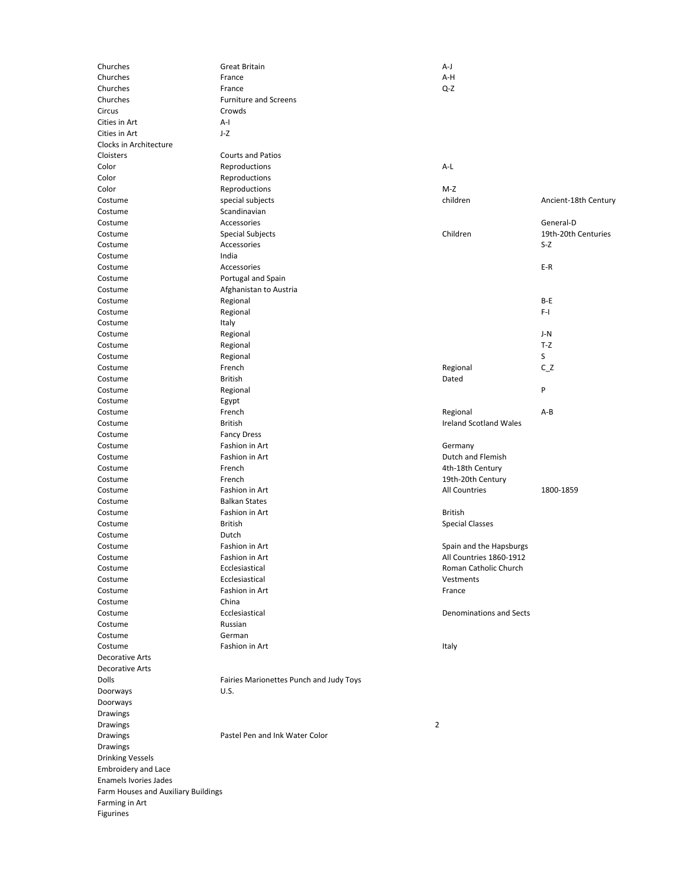| Churches                            | <b>Great Britain</b>                    | A-J                           |                      |  |  |
|-------------------------------------|-----------------------------------------|-------------------------------|----------------------|--|--|
| Churches                            | France                                  | A-H                           |                      |  |  |
| Churches                            | France                                  | $Q-Z$                         |                      |  |  |
| Churches                            | <b>Furniture and Screens</b>            |                               |                      |  |  |
| Circus                              | Crowds                                  |                               |                      |  |  |
| Cities in Art                       | A-I                                     |                               |                      |  |  |
| Cities in Art                       | J-Z                                     |                               |                      |  |  |
| Clocks in Architecture              |                                         |                               |                      |  |  |
| Cloisters                           | <b>Courts and Patios</b>                |                               |                      |  |  |
|                                     |                                         |                               |                      |  |  |
| Color                               | Reproductions                           | A-L                           |                      |  |  |
| Color                               | Reproductions                           |                               |                      |  |  |
| Color                               | Reproductions                           | M-Z                           |                      |  |  |
| Costume                             | special subjects                        | children                      | Ancient-18th Century |  |  |
| Costume                             | Scandinavian                            |                               |                      |  |  |
| Costume                             | Accessories                             |                               | General-D            |  |  |
| Costume                             | <b>Special Subjects</b>                 | Children                      | 19th-20th Centuries  |  |  |
| Costume                             | Accessories                             |                               | $S-Z$                |  |  |
| Costume                             | India                                   |                               |                      |  |  |
| Costume                             | Accessories                             |                               | $E-R$                |  |  |
| Costume                             | Portugal and Spain                      |                               |                      |  |  |
| Costume                             | Afghanistan to Austria                  |                               |                      |  |  |
| Costume                             | Regional                                |                               | B-E                  |  |  |
| Costume                             | Regional                                |                               | $F-I$                |  |  |
| Costume                             | Italy                                   |                               |                      |  |  |
|                                     |                                         |                               | J-N                  |  |  |
| Costume                             | Regional                                |                               |                      |  |  |
| Costume                             | Regional                                |                               | $T-Z$                |  |  |
| Costume                             | Regional                                |                               | S                    |  |  |
| Costume                             | French                                  | Regional                      | $C_$ Z               |  |  |
| Costume                             | British                                 | Dated                         |                      |  |  |
| Costume                             | Regional                                |                               | P                    |  |  |
| Costume                             | Egypt                                   |                               |                      |  |  |
| Costume                             | French                                  | Regional                      | A-B                  |  |  |
| Costume                             | <b>British</b>                          | <b>Ireland Scotland Wales</b> |                      |  |  |
| Costume                             | <b>Fancy Dress</b>                      |                               |                      |  |  |
| Costume                             | Fashion in Art                          | Germany                       |                      |  |  |
| Costume                             | Fashion in Art                          | Dutch and Flemish             |                      |  |  |
| Costume                             | French                                  | 4th-18th Century              |                      |  |  |
| Costume                             | French                                  | 19th-20th Century             |                      |  |  |
| Costume                             | Fashion in Art                          | <b>All Countries</b>          | 1800-1859            |  |  |
| Costume                             | <b>Balkan States</b>                    |                               |                      |  |  |
| Costume                             | Fashion in Art                          | <b>British</b>                |                      |  |  |
|                                     |                                         |                               |                      |  |  |
| Costume                             | British                                 | <b>Special Classes</b>        |                      |  |  |
| Costume                             | Dutch                                   |                               |                      |  |  |
| Costume                             | Fashion in Art                          | Spain and the Hapsburgs       |                      |  |  |
| Costume                             | Fashion in Art                          | All Countries 1860-1912       |                      |  |  |
| Costume                             | Ecclesiastical                          | Roman Catholic Church         |                      |  |  |
| Costume                             | Ecclesiastical                          | Vestments                     |                      |  |  |
| Costume                             | Fashion in Art                          | France                        |                      |  |  |
| Costume                             | China                                   |                               |                      |  |  |
| Costume                             | Ecclesiastical                          | Denominations and Sects       |                      |  |  |
| Costume                             | Russian                                 |                               |                      |  |  |
| Costume                             | German                                  |                               |                      |  |  |
| Costume                             | Fashion in Art                          | Italy                         |                      |  |  |
| <b>Decorative Arts</b>              |                                         |                               |                      |  |  |
| Decorative Arts                     |                                         |                               |                      |  |  |
| Dolls                               | Fairies Marionettes Punch and Judy Toys |                               |                      |  |  |
|                                     | U.S.                                    |                               |                      |  |  |
| Doorways                            |                                         |                               |                      |  |  |
| Doorways                            |                                         |                               |                      |  |  |
| Drawings                            |                                         |                               |                      |  |  |
| Drawings                            |                                         | 2                             |                      |  |  |
| Drawings                            | Pastel Pen and Ink Water Color          |                               |                      |  |  |
| Drawings                            |                                         |                               |                      |  |  |
| <b>Drinking Vessels</b>             |                                         |                               |                      |  |  |
| <b>Embroidery and Lace</b>          |                                         |                               |                      |  |  |
| <b>Enamels Ivories Jades</b>        |                                         |                               |                      |  |  |
| Farm Houses and Auxiliary Buildings |                                         |                               |                      |  |  |
| Farming in Art                      |                                         |                               |                      |  |  |
| <b>Figurines</b>                    |                                         |                               |                      |  |  |
|                                     |                                         |                               |                      |  |  |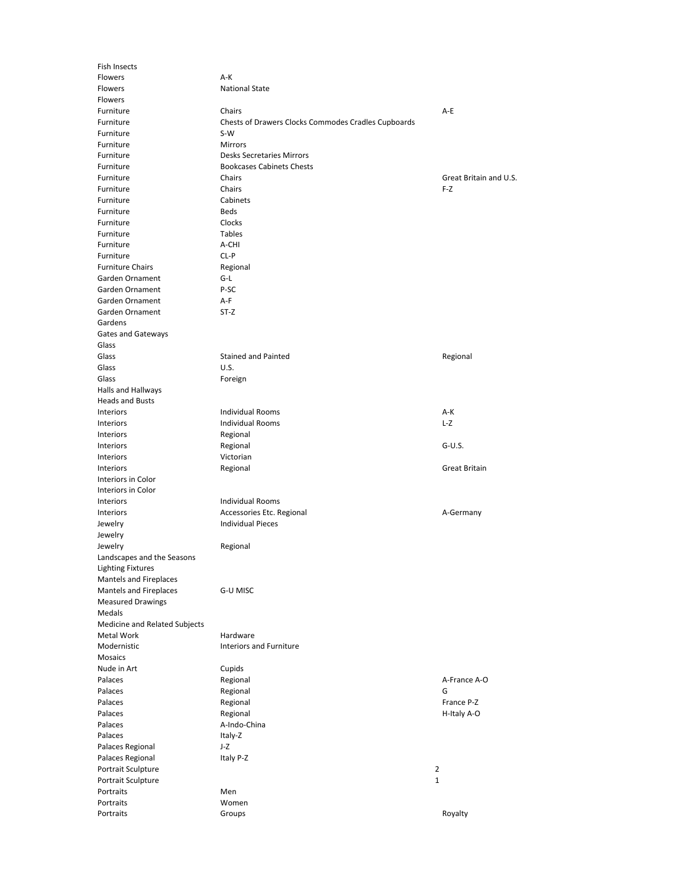| Fish Insects                  |                                                     |                        |
|-------------------------------|-----------------------------------------------------|------------------------|
| Flowers                       | A-K                                                 |                        |
| Flowers                       | <b>National State</b>                               |                        |
| <b>Flowers</b>                |                                                     |                        |
| Furniture                     | Chairs                                              | A-E                    |
|                               |                                                     |                        |
| Furniture                     | Chests of Drawers Clocks Commodes Cradles Cupboards |                        |
| Furniture                     | $S-W$                                               |                        |
| Furniture                     | <b>Mirrors</b>                                      |                        |
| Furniture                     | <b>Desks Secretaries Mirrors</b>                    |                        |
| Furniture                     | <b>Bookcases Cabinets Chests</b>                    |                        |
| Furniture                     | Chairs                                              | Great Britain and U.S. |
| Furniture                     | Chairs                                              | $F-Z$                  |
|                               |                                                     |                        |
| Furniture                     | Cabinets                                            |                        |
| Furniture                     | Beds                                                |                        |
| Furniture                     | Clocks                                              |                        |
| Furniture                     | Tables                                              |                        |
| Furniture                     | A-CHI                                               |                        |
| Furniture                     | $CL-P$                                              |                        |
| <b>Furniture Chairs</b>       |                                                     |                        |
|                               | Regional                                            |                        |
| Garden Ornament               | G-L                                                 |                        |
| Garden Ornament               | P-SC                                                |                        |
| Garden Ornament               | A-F                                                 |                        |
| Garden Ornament               | $ST-Z$                                              |                        |
| Gardens                       |                                                     |                        |
| Gates and Gateways            |                                                     |                        |
| Glass                         |                                                     |                        |
|                               |                                                     |                        |
| Glass                         | <b>Stained and Painted</b>                          | Regional               |
| Glass                         | U.S.                                                |                        |
| Glass                         | Foreign                                             |                        |
| Halls and Hallways            |                                                     |                        |
| <b>Heads and Busts</b>        |                                                     |                        |
| Interiors                     | <b>Individual Rooms</b>                             | $A-K$                  |
| Interiors                     | <b>Individual Rooms</b>                             | L-Z                    |
|                               |                                                     |                        |
| Interiors                     | Regional                                            |                        |
| <b>Interiors</b>              | Regional                                            | $G-U.S.$               |
| Interiors                     | Victorian                                           |                        |
| Interiors                     | Regional                                            | <b>Great Britain</b>   |
| Interiors in Color            |                                                     |                        |
| Interiors in Color            |                                                     |                        |
|                               |                                                     |                        |
| Interiors                     | <b>Individual Rooms</b>                             |                        |
| Interiors                     | Accessories Etc. Regional                           | A-Germany              |
| Jewelry                       | <b>Individual Pieces</b>                            |                        |
| Jewelry                       |                                                     |                        |
| Jewelry                       | Regional                                            |                        |
| Landscapes and the Seasons    |                                                     |                        |
|                               |                                                     |                        |
| Lighting Fixtures             |                                                     |                        |
| Mantels and Fireplaces        |                                                     |                        |
| Mantels and Fireplaces        | G-U MISC                                            |                        |
| <b>Measured Drawings</b>      |                                                     |                        |
| Medals                        |                                                     |                        |
| Medicine and Related Subjects |                                                     |                        |
| Metal Work                    | Hardware                                            |                        |
|                               |                                                     |                        |
| Modernistic                   | <b>Interiors and Furniture</b>                      |                        |
| <b>Mosaics</b>                |                                                     |                        |
| Nude in Art                   | Cupids                                              |                        |
| Palaces                       | Regional                                            | A-France A-O           |
| Palaces                       | Regional                                            | G                      |
| Palaces                       | Regional                                            | France P-Z             |
|                               |                                                     |                        |
| Palaces                       | Regional                                            | H-Italy A-O            |
| Palaces                       | A-Indo-China                                        |                        |
| Palaces                       | Italy-Z                                             |                        |
| Palaces Regional              | J-Z                                                 |                        |
| Palaces Regional              | Italy P-Z                                           |                        |
| Portrait Sculpture            |                                                     | 2                      |
|                               |                                                     | 1                      |
| Portrait Sculpture            |                                                     |                        |
| Portraits                     | Men                                                 |                        |
| Portraits                     | Women                                               |                        |
| Portraits                     | Groups                                              | Royalty                |
|                               |                                                     |                        |